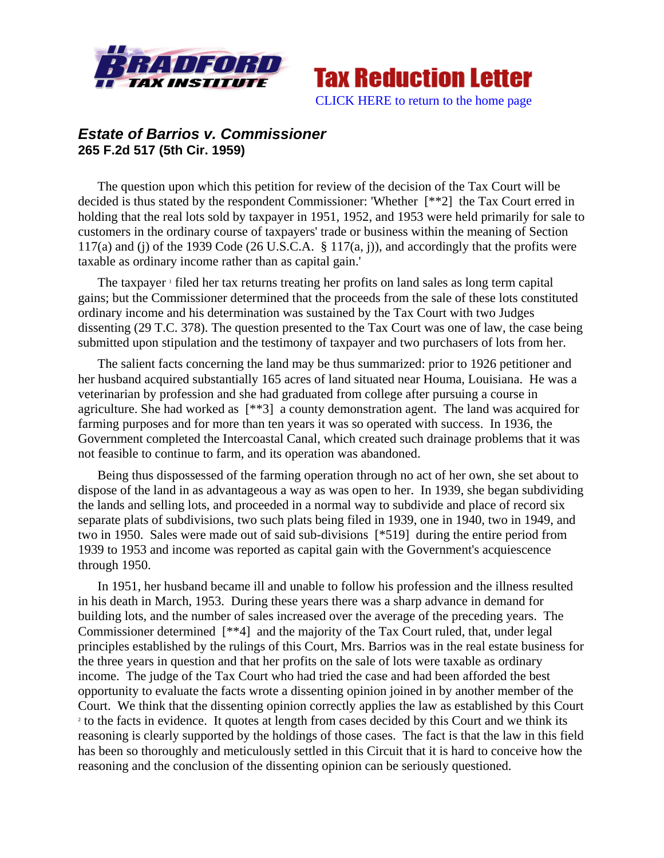



## *Estate of Barrios v. Commissioner*  **265 F.2d 517 (5th Cir. 1959)**

The question upon which this petition for review of the decision of the Tax Court will be decided is thus stated by the respondent Commissioner: 'Whether [\*\*2] the Tax Court erred in holding that the real lots sold by taxpayer in 1951, 1952, and 1953 were held primarily for sale to customers in the ordinary course of taxpayers' trade or business within the meaning of Section 117(a) and (j) of the 1939 Code (26 U.S.C.A.  $\S$  117(a, j)), and accordingly that the profits were taxable as ordinary income rather than as capital gain.'

The taxpayer <sup>1</sup> filed her tax returns treating her profits on land sales as long term capital gains; but the Commissioner determined that the proceeds from the sale of these lots constituted ordinary income and his determination was sustained by the Tax Court with two Judges dissenting (29 T.C. 378). The question presented to the Tax Court was one of law, the case being submitted upon stipulation and the testimony of taxpayer and two purchasers of lots from her.

The salient facts concerning the land may be thus summarized: prior to 1926 petitioner and her husband acquired substantially 165 acres of land situated near Houma, Louisiana. He was a veterinarian by profession and she had graduated from college after pursuing a course in agriculture. She had worked as [\*\*3] a county demonstration agent. The land was acquired for farming purposes and for more than ten years it was so operated with success. In 1936, the Government completed the Intercoastal Canal, which created such drainage problems that it was not feasible to continue to farm, and its operation was abandoned.

Being thus dispossessed of the farming operation through no act of her own, she set about to dispose of the land in as advantageous a way as was open to her. In 1939, she began subdividing the lands and selling lots, and proceeded in a normal way to subdivide and place of record six separate plats of subdivisions, two such plats being filed in 1939, one in 1940, two in 1949, and two in 1950. Sales were made out of said sub-divisions [\*519] during the entire period from 1939 to 1953 and income was reported as capital gain with the Government's acquiescence through 1950.

In 1951, her husband became ill and unable to follow his profession and the illness resulted in his death in March, 1953. During these years there was a sharp advance in demand for building lots, and the number of sales increased over the average of the preceding years. The Commissioner determined [\*\*4] and the majority of the Tax Court ruled, that, under legal principles established by the rulings of this Court, Mrs. Barrios was in the real estate business for the three years in question and that her profits on the sale of lots were taxable as ordinary income. The judge of the Tax Court who had tried the case and had been afforded the best opportunity to evaluate the facts wrote a dissenting opinion joined in by another member of the Court. We think that the dissenting opinion correctly applies the law as established by this Court 2 <sup>2</sup> to the facts in evidence. It quotes at length from cases decided by this Court and we think its reasoning is clearly supported by the holdings of those cases. The fact is that the law in this field has been so thoroughly and meticulously settled in this Circuit that it is hard to conceive how the reasoning and the conclusion of the dissenting opinion can be seriously questioned.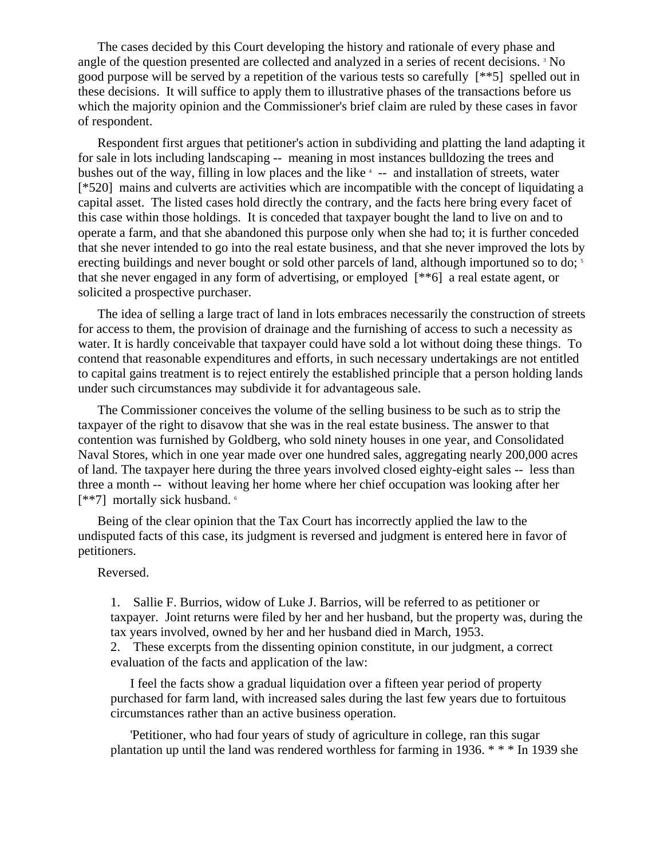The cases decided by this Court developing the history and rationale of every phase and angle of the question presented are collected and analyzed in a series of recent decisions.<sup>3</sup> No good purpose will be served by a repetition of the various tests so carefully [\*\*5] spelled out in these decisions. It will suffice to apply them to illustrative phases of the transactions before us which the majority opinion and the Commissioner's brief claim are ruled by these cases in favor of respondent.

Respondent first argues that petitioner's action in subdividing and platting the land adapting it for sale in lots including landscaping -- meaning in most instances bulldozing the trees and bushes out of the way, filling in low places and the like  $4$  -- and installation of streets, water [\*520] mains and culverts are activities which are incompatible with the concept of liquidating a capital asset. The listed cases hold directly the contrary, and the facts here bring every facet of this case within those holdings. It is conceded that taxpayer bought the land to live on and to operate a farm, and that she abandoned this purpose only when she had to; it is further conceded that she never intended to go into the real estate business, and that she never improved the lots by erecting buildings and never bought or sold other parcels of land, although importuned so to do;<sup>5</sup> that she never engaged in any form of advertising, or employed [\*\*6] a real estate agent, or solicited a prospective purchaser.

The idea of selling a large tract of land in lots embraces necessarily the construction of streets for access to them, the provision of drainage and the furnishing of access to such a necessity as water. It is hardly conceivable that taxpayer could have sold a lot without doing these things. To contend that reasonable expenditures and efforts, in such necessary undertakings are not entitled to capital gains treatment is to reject entirely the established principle that a person holding lands under such circumstances may subdivide it for advantageous sale.

The Commissioner conceives the volume of the selling business to be such as to strip the taxpayer of the right to disavow that she was in the real estate business. The answer to that contention was furnished by Goldberg, who sold ninety houses in one year, and Consolidated Naval Stores, which in one year made over one hundred sales, aggregating nearly 200,000 acres of land. The taxpayer here during the three years involved closed eighty-eight sales -- less than three a month -- without leaving her home where her chief occupation was looking after her [\*\*7] mortally sick husband. 6

Being of the clear opinion that the Tax Court has incorrectly applied the law to the undisputed facts of this case, its judgment is reversed and judgment is entered here in favor of petitioners.

## Reversed.

1. Sallie F. Burrios, widow of Luke J. Barrios, will be referred to as petitioner or taxpayer. Joint returns were filed by her and her husband, but the property was, during the tax years involved, owned by her and her husband died in March, 1953.

2. These excerpts from the dissenting opinion constitute, in our judgment, a correct evaluation of the facts and application of the law:

I feel the facts show a gradual liquidation over a fifteen year period of property purchased for farm land, with increased sales during the last few years due to fortuitous circumstances rather than an active business operation.

'Petitioner, who had four years of study of agriculture in college, ran this sugar plantation up until the land was rendered worthless for farming in 1936. \* \* \* In 1939 she